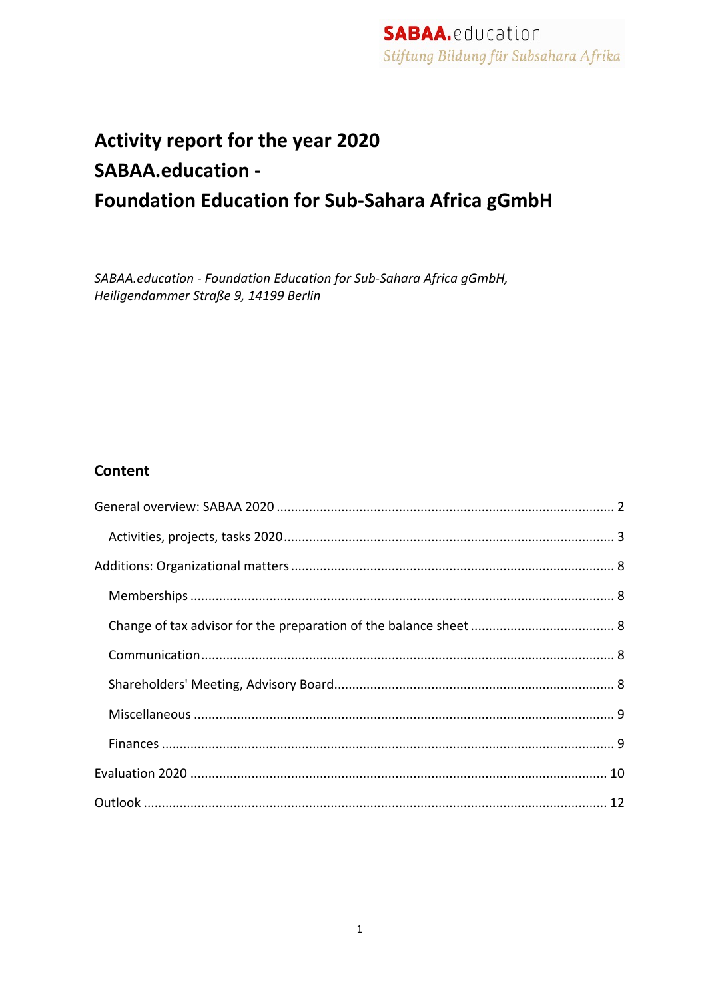# Activity report for the year 2020 **SABAA.education -Foundation Education for Sub-Sahara Africa gGmbH**

SABAA.education - Foundation Education for Sub-Sahara Africa gGmbH, Heiligendammer Straße 9, 14199 Berlin

## **Content**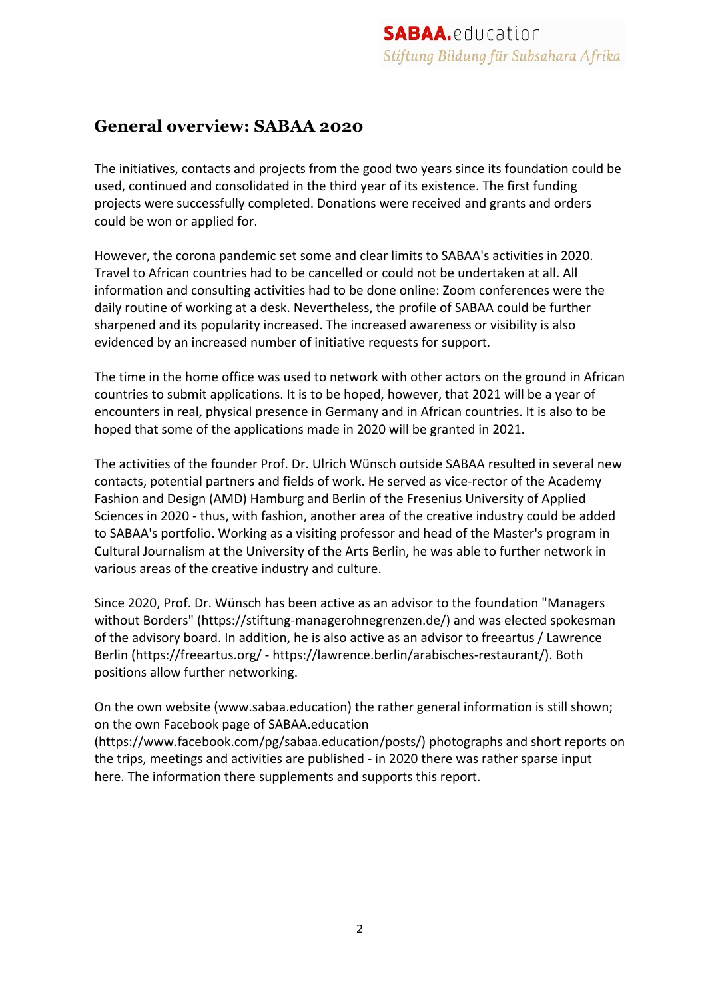## **General overview: SABAA 2020**

The initiatives, contacts and projects from the good two years since its foundation could be used, continued and consolidated in the third year of its existence. The first funding projects were successfully completed. Donations were received and grants and orders could be won or applied for.

However, the corona pandemic set some and clear limits to SABAA's activities in 2020. Travel to African countries had to be cancelled or could not be undertaken at all. All information and consulting activities had to be done online: Zoom conferences were the daily routine of working at a desk. Nevertheless, the profile of SABAA could be further sharpened and its popularity increased. The increased awareness or visibility is also evidenced by an increased number of initiative requests for support.

The time in the home office was used to network with other actors on the ground in African countries to submit applications. It is to be hoped, however, that 2021 will be a year of encounters in real, physical presence in Germany and in African countries. It is also to be hoped that some of the applications made in 2020 will be granted in 2021.

The activities of the founder Prof. Dr. Ulrich Wünsch outside SABAA resulted in several new contacts, potential partners and fields of work. He served as vice-rector of the Academy Fashion and Design (AMD) Hamburg and Berlin of the Fresenius University of Applied Sciences in 2020 - thus, with fashion, another area of the creative industry could be added to SABAA's portfolio. Working as a visiting professor and head of the Master's program in Cultural Journalism at the University of the Arts Berlin, he was able to further network in various areas of the creative industry and culture.

Since 2020, Prof. Dr. Wünsch has been active as an advisor to the foundation "Managers without Borders" (https://stiftung-managerohnegrenzen.de/) and was elected spokesman of the advisory board. In addition, he is also active as an advisor to freeartus / Lawrence Berlin (https://freeartus.org/ - https://lawrence.berlin/arabisches-restaurant/). Both positions allow further networking.

On the own website (www.sabaa.education) the rather general information is still shown; on the own Facebook page of SABAA.education

(https://www.facebook.com/pg/sabaa.education/posts/) photographs and short reports on the trips, meetings and activities are published - in 2020 there was rather sparse input here. The information there supplements and supports this report.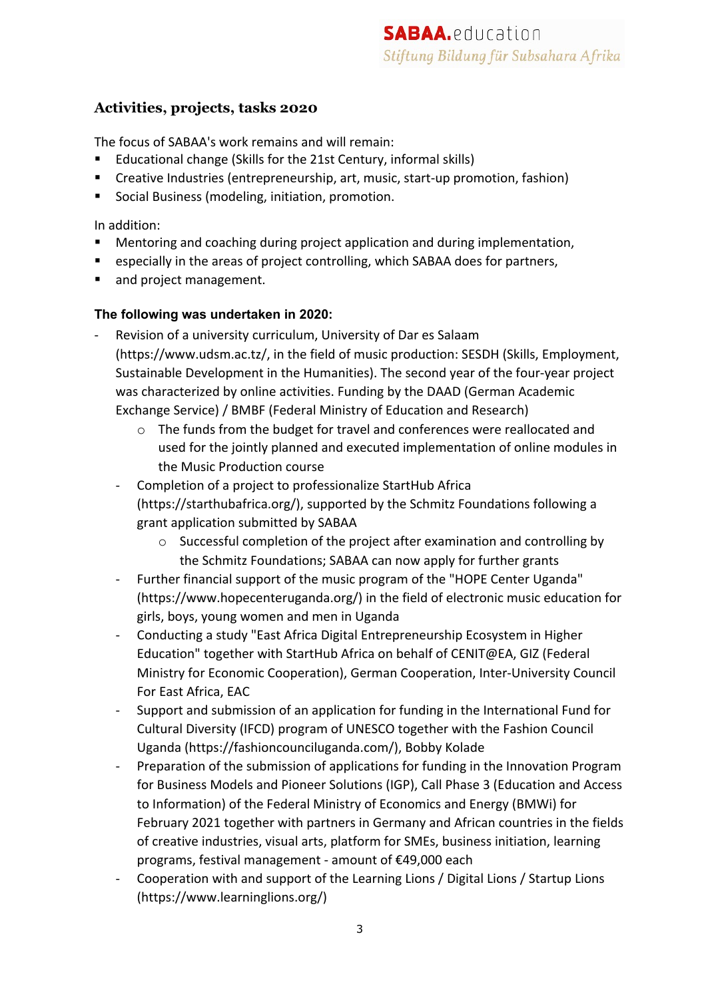### **Activities, projects, tasks 2020**

The focus of SABAA's work remains and will remain:

- § Educational change (Skills for the 21st Century, informal skills)
- § Creative Industries (entrepreneurship, art, music, start-up promotion, fashion)
- Social Business (modeling, initiation, promotion.

#### In addition:

- Mentoring and coaching during project application and during implementation,
- especially in the areas of project controlling, which SABAA does for partners,
- and project management.

#### **The following was undertaken in 2020:**

- Revision of a university curriculum, University of Dar es Salaam (https://www.udsm.ac.tz/, in the field of music production: SESDH (Skills, Employment, Sustainable Development in the Humanities). The second year of the four-year project was characterized by online activities. Funding by the DAAD (German Academic Exchange Service) / BMBF (Federal Ministry of Education and Research)
	- $\circ$  The funds from the budget for travel and conferences were reallocated and used for the jointly planned and executed implementation of online modules in the Music Production course
	- Completion of a project to professionalize StartHub Africa (https://starthubafrica.org/), supported by the Schmitz Foundations following a grant application submitted by SABAA
		- o Successful completion of the project after examination and controlling by the Schmitz Foundations; SABAA can now apply for further grants
	- Further financial support of the music program of the "HOPE Center Uganda" (https://www.hopecenteruganda.org/) in the field of electronic music education for girls, boys, young women and men in Uganda
	- Conducting a study "East Africa Digital Entrepreneurship Ecosystem in Higher Education" together with StartHub Africa on behalf of CENIT@EA, GIZ (Federal Ministry for Economic Cooperation), German Cooperation, Inter-University Council For East Africa, EAC
	- Support and submission of an application for funding in the International Fund for Cultural Diversity (IFCD) program of UNESCO together with the Fashion Council Uganda (https://fashioncounciluganda.com/), Bobby Kolade
	- Preparation of the submission of applications for funding in the Innovation Program for Business Models and Pioneer Solutions (IGP), Call Phase 3 (Education and Access to Information) of the Federal Ministry of Economics and Energy (BMWi) for February 2021 together with partners in Germany and African countries in the fields of creative industries, visual arts, platform for SMEs, business initiation, learning programs, festival management - amount of €49,000 each
	- Cooperation with and support of the Learning Lions / Digital Lions / Startup Lions (https://www.learninglions.org/)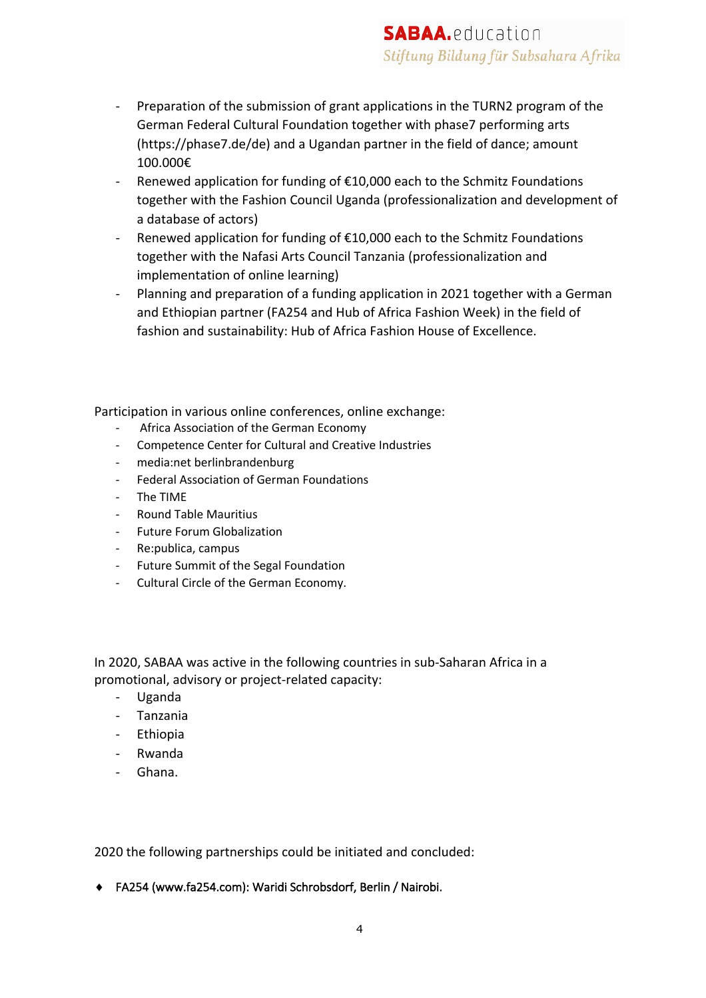- Preparation of the submission of grant applications in the TURN2 program of the German Federal Cultural Foundation together with phase7 performing arts (https://phase7.de/de) and a Ugandan partner in the field of dance; amount 100.000€
- Renewed application for funding of €10,000 each to the Schmitz Foundations together with the Fashion Council Uganda (professionalization and development of a database of actors)
- Renewed application for funding of €10,000 each to the Schmitz Foundations together with the Nafasi Arts Council Tanzania (professionalization and implementation of online learning)
- Planning and preparation of a funding application in 2021 together with a German and Ethiopian partner (FA254 and Hub of Africa Fashion Week) in the field of fashion and sustainability: Hub of Africa Fashion House of Excellence.

Participation in various online conferences, online exchange:

- Africa Association of the German Economy
- Competence Center for Cultural and Creative Industries
- media:net berlinbrandenburg
- Federal Association of German Foundations
- The TIME
- Round Table Mauritius
- Future Forum Globalization
- Re:publica, campus
- Future Summit of the Segal Foundation
- Cultural Circle of the German Economy.

In 2020, SABAA was active in the following countries in sub-Saharan Africa in a promotional, advisory or project-related capacity:

- Uganda
- Tanzania
- Ethiopia
- Rwanda
- Ghana.

2020 the following partnerships could be initiated and concluded:

◆ FA254 (www.fa254.com): Waridi Schrobsdorf, Berlin / Nairobi.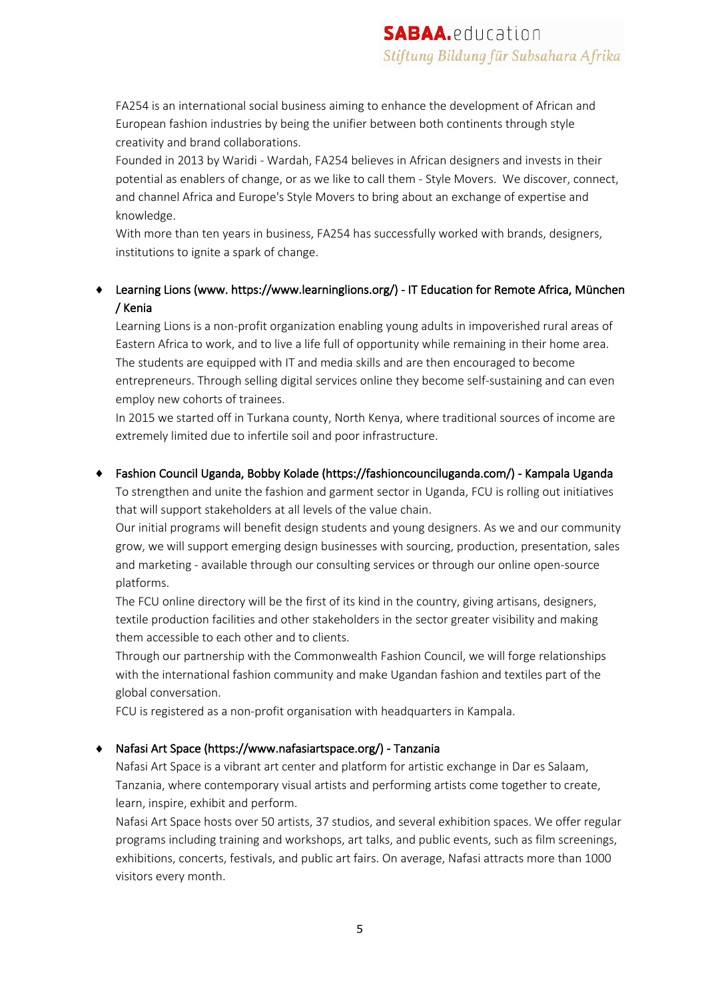FA254 is an international social business aiming to enhance the development of African and European fashion industries by being the unifier between both continents through style creativity and brand collaborations.

Founded in 2013 by Waridi - Wardah, FA254 believes in African designers and invests in their potential as enablers of change, or as we like to call them - Style Movers. We discover, connect, and channel Africa and Europe's Style Movers to bring about an exchange of expertise and knowledge.

With more than ten years in business, FA254 has successfully worked with brands, designers, institutions to ignite a spark of change.

#### ◆ Learning Lions (www. https://www.learninglions.org/) - IT Education for Remote Africa, München / Kenia

Learning Lions is a non-profit organization enabling young adults in impoverished rural areas of Eastern Africa to work, and to live a life full of opportunity while remaining in their home area. The students are equipped with IT and media skills and are then encouraged to become entrepreneurs. Through selling digital services online they become self-sustaining and can even employ new cohorts of trainees.

In 2015 we started off in Turkana county, North Kenya, where traditional sources of income are extremely limited due to infertile soil and poor infrastructure.

#### ¨ Fashion Council Uganda, Bobby Kolade (https://fashioncounciluganda.com/) - Kampala Uganda

To strengthen and unite the fashion and garment sector in Uganda, FCU is rolling out initiatives that will support stakeholders at all levels of the value chain.

Our initial programs will benefit design students and young designers. As we and our community grow, we will support emerging design businesses with sourcing, production, presentation, sales and marketing - available through our consulting services or through our online open-source platforms.

The FCU online directory will be the first of its kind in the country, giving artisans, designers, textile production facilities and other stakeholders in the sector greater visibility and making them accessible to each other and to clients.

Through our partnership with the Commonwealth Fashion Council, we will forge relationships with the international fashion community and make Ugandan fashion and textiles part of the global conversation.

FCU is registered as a non-profit organisation with headquarters in Kampala.

#### ◆ Nafasi Art Space (https://www.nafasiartspace.org/) - Tanzania

Nafasi Art Space is a vibrant art center and platform for artistic exchange in Dar es Salaam, Tanzania, where contemporary visual artists and performing artists come together to create, learn, inspire, exhibit and perform.

Nafasi Art Space hosts over 50 artists, 37 studios, and several exhibition spaces. We offer regular programs including training and workshops, art talks, and public events, such as film screenings, exhibitions, concerts, festivals, and public art fairs. On average, Nafasi attracts more than 1000 visitors every month.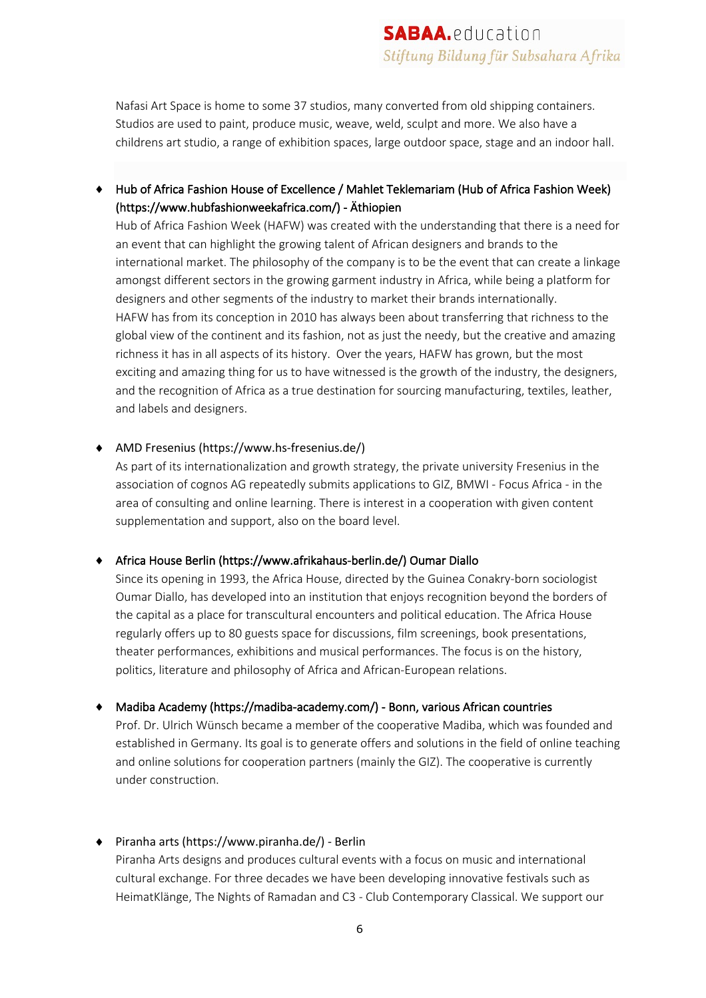Nafasi Art Space is home to some 37 studios, many converted from old shipping containers. Studios are used to paint, produce music, weave, weld, sculpt and more. We also have a childrens art studio, a range of exhibition spaces, large outdoor space, stage and an indoor hall.

◆ Hub of Africa Fashion House of Excellence / Mahlet Teklemariam (Hub of Africa Fashion Week) (https://www.hubfashionweekafrica.com/) - Äthiopien

Hub of Africa Fashion Week (HAFW) was created with the understanding that there is a need for an event that can highlight the growing talent of African designers and brands to the international market. The philosophy of the company is to be the event that can create a linkage amongst different sectors in the growing garment industry in Africa, while being a platform for designers and other segments of the industry to market their brands internationally. HAFW has from its conception in 2010 has always been about transferring that richness to the global view of the continent and its fashion, not as just the needy, but the creative and amazing richness it has in all aspects of its history. Over the years, HAFW has grown, but the most exciting and amazing thing for us to have witnessed is the growth of the industry, the designers, and the recognition of Africa as a true destination for sourcing manufacturing, textiles, leather, and labels and designers.

#### ◆ AMD Fresenius (https://www.hs-fresenius.de/)

As part of its internationalization and growth strategy, the private university Fresenius in the association of cognos AG repeatedly submits applications to GIZ, BMWI - Focus Africa - in the area of consulting and online learning. There is interest in a cooperation with given content supplementation and support, also on the board level.

#### ◆ Africa House Berlin (https://www.afrikahaus-berlin.de/) Oumar Diallo

Since its opening in 1993, the Africa House, directed by the Guinea Conakry-born sociologist Oumar Diallo, has developed into an institution that enjoys recognition beyond the borders of the capital as a place for transcultural encounters and political education. The Africa House regularly offers up to 80 guests space for discussions, film screenings, book presentations, theater performances, exhibitions and musical performances. The focus is on the history, politics, literature and philosophy of Africa and African-European relations.

#### ◆ Madiba Academy (https://madiba-academy.com/) - Bonn, various African countries

Prof. Dr. Ulrich Wünsch became a member of the cooperative Madiba, which was founded and established in Germany. Its goal is to generate offers and solutions in the field of online teaching and online solutions for cooperation partners (mainly the GIZ). The cooperative is currently under construction.

#### $\bullet$  Piranha arts (https://www.piranha.de/) - Berlin

Piranha Arts designs and produces cultural events with a focus on music and international cultural exchange. For three decades we have been developing innovative festivals such as HeimatKlänge, The Nights of Ramadan and C3 - Club Contemporary Classical. We support our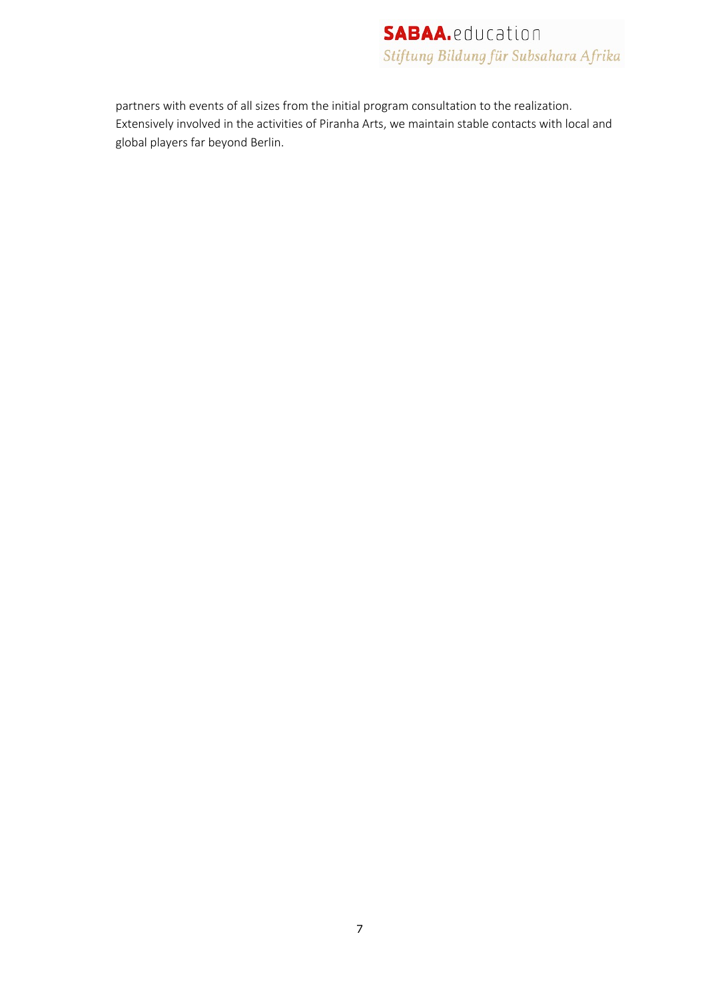partners with events of all sizes from the initial program consultation to the realization. Extensively involved in the activities of Piranha Arts, we maintain stable contacts with local and global players far beyond Berlin.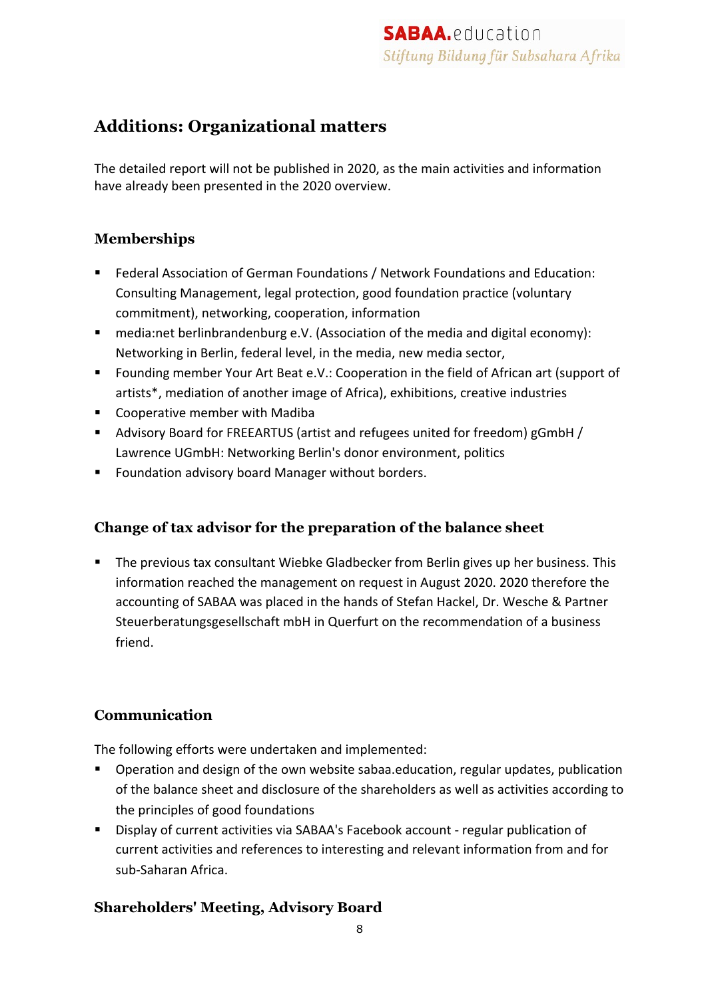## **Additions: Organizational matters**

The detailed report will not be published in 2020, as the main activities and information have already been presented in the 2020 overview.

## **Memberships**

- Federal Association of German Foundations / Network Foundations and Education: Consulting Management, legal protection, good foundation practice (voluntary commitment), networking, cooperation, information
- media:net berlinbrandenburg e.V. (Association of the media and digital economy): Networking in Berlin, federal level, in the media, new media sector,
- Founding member Your Art Beat e.V.: Cooperation in the field of African art (support of artists\*, mediation of another image of Africa), exhibitions, creative industries
- Cooperative member with Madiba
- Advisory Board for FREEARTUS (artist and refugees united for freedom) gGmbH / Lawrence UGmbH: Networking Berlin's donor environment, politics
- Foundation advisory board Manager without borders.

## **Change of tax advisor for the preparation of the balance sheet**

■ The previous tax consultant Wiebke Gladbecker from Berlin gives up her business. This information reached the management on request in August 2020. 2020 therefore the accounting of SABAA was placed in the hands of Stefan Hackel, Dr. Wesche & Partner Steuerberatungsgesellschaft mbH in Querfurt on the recommendation of a business friend.

## **Communication**

The following efforts were undertaken and implemented:

- Operation and design of the own website sabaa.education, regular updates, publication of the balance sheet and disclosure of the shareholders as well as activities according to the principles of good foundations
- Display of current activities via SABAA's Facebook account regular publication of current activities and references to interesting and relevant information from and for sub-Saharan Africa.

## **Shareholders' Meeting, Advisory Board**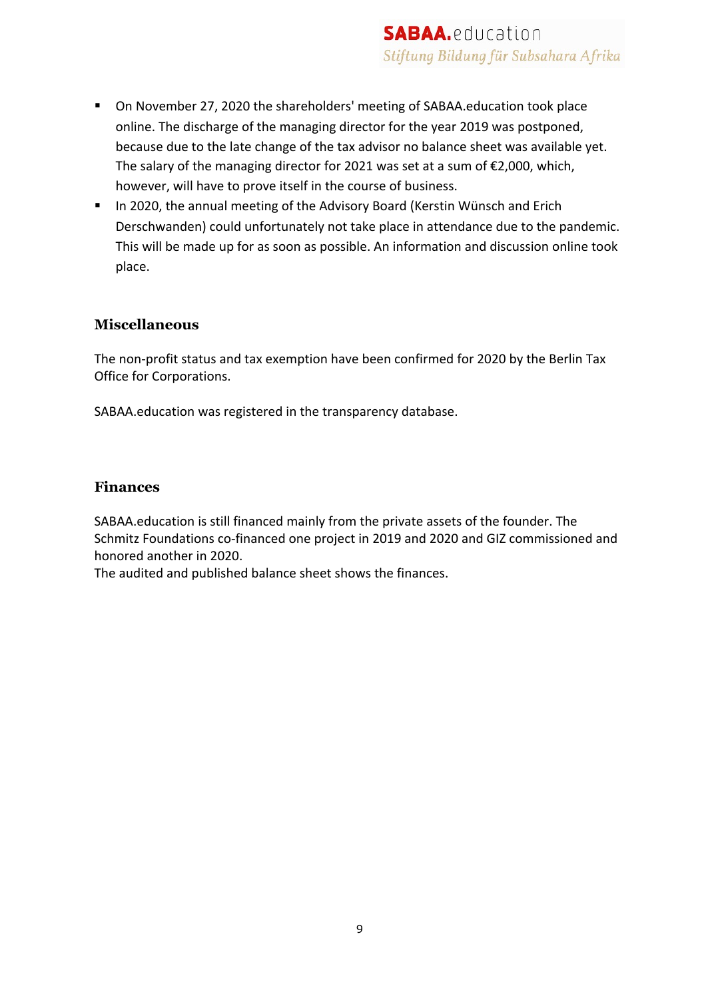- On November 27, 2020 the shareholders' meeting of SABAA.education took place online. The discharge of the managing director for the year 2019 was postponed, because due to the late change of the tax advisor no balance sheet was available yet. The salary of the managing director for 2021 was set at a sum of €2,000, which, however, will have to prove itself in the course of business.
- In 2020, the annual meeting of the Advisory Board (Kerstin Wünsch and Erich Derschwanden) could unfortunately not take place in attendance due to the pandemic. This will be made up for as soon as possible. An information and discussion online took place.

#### **Miscellaneous**

The non-profit status and tax exemption have been confirmed for 2020 by the Berlin Tax Office for Corporations.

SABAA.education was registered in the transparency database.

#### **Finances**

SABAA.education is still financed mainly from the private assets of the founder. The Schmitz Foundations co-financed one project in 2019 and 2020 and GIZ commissioned and honored another in 2020.

The audited and published balance sheet shows the finances.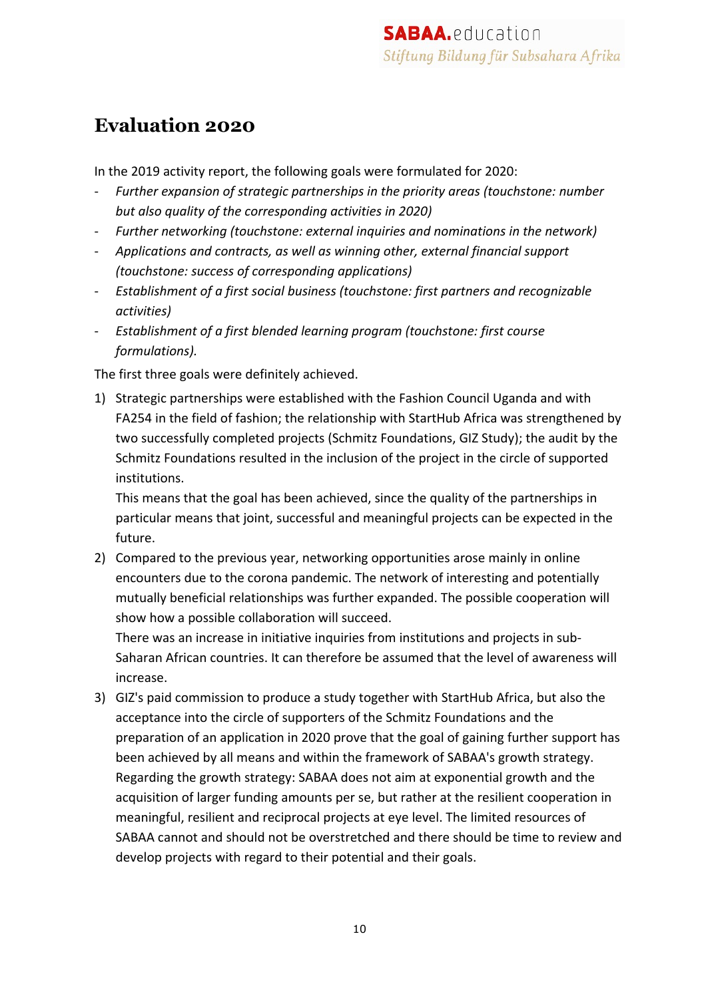## **Evaluation 2020**

In the 2019 activity report, the following goals were formulated for 2020:

- *Further expansion of strategic partnerships in the priority areas (touchstone: number but also quality of the corresponding activities in 2020)*
- *Further networking (touchstone: external inquiries and nominations in the network)*
- *Applications and contracts, as well as winning other, external financial support (touchstone: success of corresponding applications)*
- *Establishment of a first social business (touchstone: first partners and recognizable activities)*
- *Establishment of a first blended learning program (touchstone: first course formulations).*

The first three goals were definitely achieved.

1) Strategic partnerships were established with the Fashion Council Uganda and with FA254 in the field of fashion; the relationship with StartHub Africa was strengthened by two successfully completed projects (Schmitz Foundations, GIZ Study); the audit by the Schmitz Foundations resulted in the inclusion of the project in the circle of supported institutions.

This means that the goal has been achieved, since the quality of the partnerships in particular means that joint, successful and meaningful projects can be expected in the future.

2) Compared to the previous year, networking opportunities arose mainly in online encounters due to the corona pandemic. The network of interesting and potentially mutually beneficial relationships was further expanded. The possible cooperation will show how a possible collaboration will succeed.

There was an increase in initiative inquiries from institutions and projects in sub-Saharan African countries. It can therefore be assumed that the level of awareness will increase.

3) GIZ's paid commission to produce a study together with StartHub Africa, but also the acceptance into the circle of supporters of the Schmitz Foundations and the preparation of an application in 2020 prove that the goal of gaining further support has been achieved by all means and within the framework of SABAA's growth strategy. Regarding the growth strategy: SABAA does not aim at exponential growth and the acquisition of larger funding amounts per se, but rather at the resilient cooperation in meaningful, resilient and reciprocal projects at eye level. The limited resources of SABAA cannot and should not be overstretched and there should be time to review and develop projects with regard to their potential and their goals.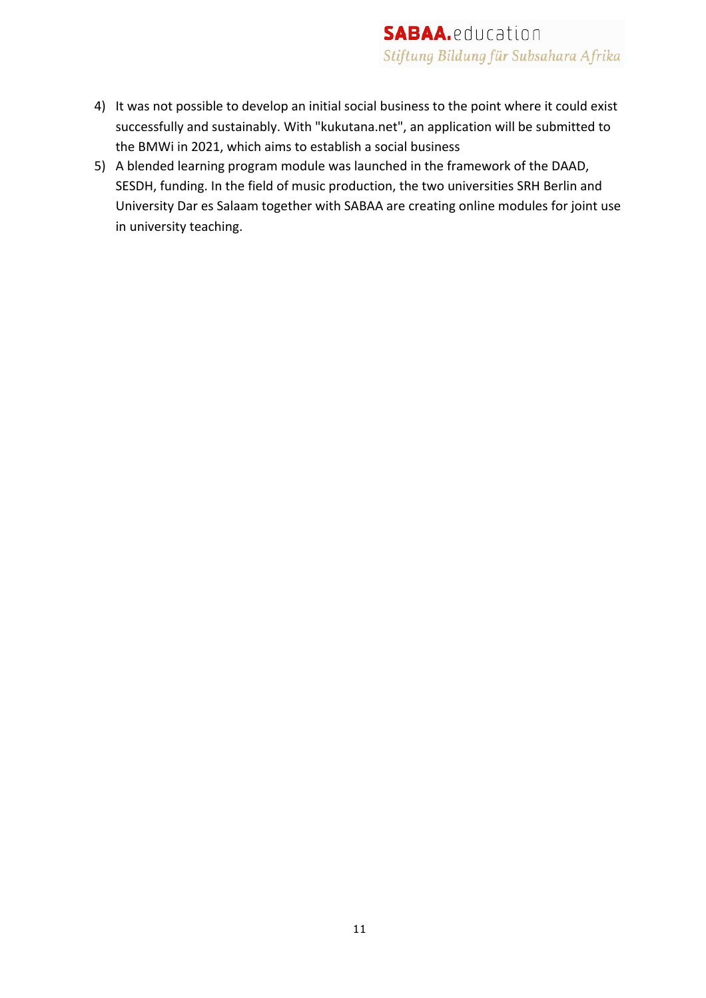- 4) It was not possible to develop an initial social business to the point where it could exist successfully and sustainably. With "kukutana.net", an application will be submitted to the BMWi in 2021, which aims to establish a social business
- 5) A blended learning program module was launched in the framework of the DAAD, SESDH, funding. In the field of music production, the two universities SRH Berlin and University Dar es Salaam together with SABAA are creating online modules for joint use in university teaching.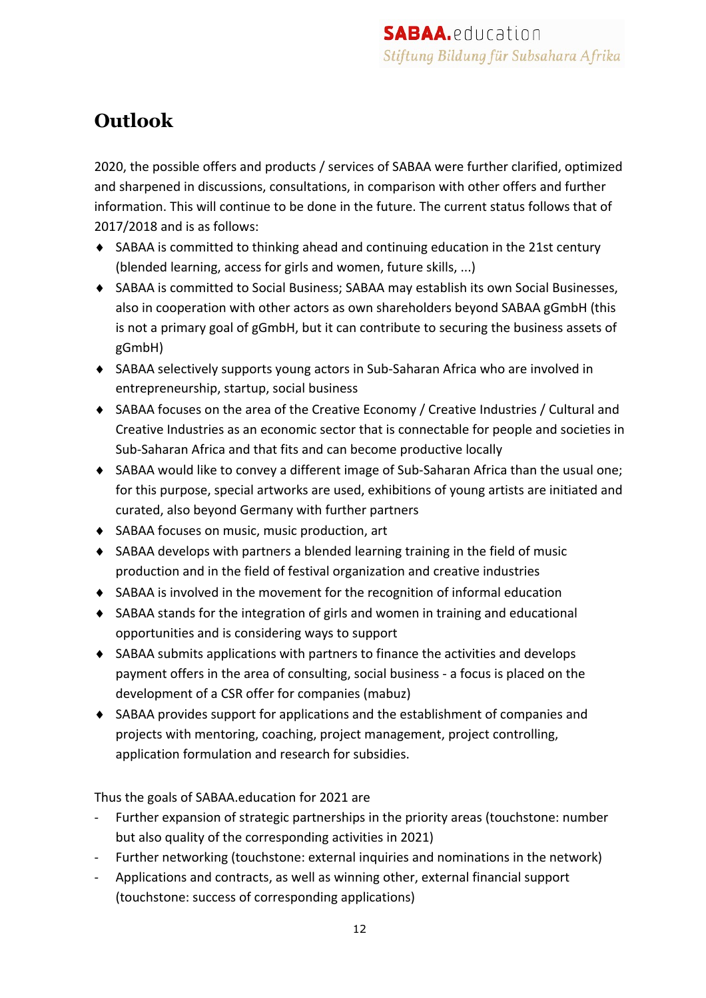## **Outlook**

2020, the possible offers and products / services of SABAA were further clarified, optimized and sharpened in discussions, consultations, in comparison with other offers and further information. This will continue to be done in the future. The current status follows that of 2017/2018 and is as follows:

- ◆ SABAA is committed to thinking ahead and continuing education in the 21st century (blended learning, access for girls and women, future skills, ...)
- ◆ SABAA is committed to Social Business; SABAA may establish its own Social Businesses, also in cooperation with other actors as own shareholders beyond SABAA gGmbH (this is not a primary goal of gGmbH, but it can contribute to securing the business assets of gGmbH)
- ◆ SABAA selectively supports young actors in Sub-Saharan Africa who are involved in entrepreneurship, startup, social business
- ◆ SABAA focuses on the area of the Creative Economy / Creative Industries / Cultural and Creative Industries as an economic sector that is connectable for people and societies in Sub-Saharan Africa and that fits and can become productive locally
- ◆ SABAA would like to convey a different image of Sub-Saharan Africa than the usual one; for this purpose, special artworks are used, exhibitions of young artists are initiated and curated, also beyond Germany with further partners
- ◆ SABAA focuses on music, music production, art
- $\bullet$  SABAA develops with partners a blended learning training in the field of music production and in the field of festival organization and creative industries
- $\triangle$  SABAA is involved in the movement for the recognition of informal education
- SABAA stands for the integration of girls and women in training and educational opportunities and is considering ways to support
- $\triangleleft$  SABAA submits applications with partners to finance the activities and develops payment offers in the area of consulting, social business - a focus is placed on the development of a CSR offer for companies (mabuz)
- $\triangle$  SABAA provides support for applications and the establishment of companies and projects with mentoring, coaching, project management, project controlling, application formulation and research for subsidies.

Thus the goals of SABAA.education for 2021 are

- Further expansion of strategic partnerships in the priority areas (touchstone: number but also quality of the corresponding activities in 2021)
- Further networking (touchstone: external inquiries and nominations in the network)
- Applications and contracts, as well as winning other, external financial support (touchstone: success of corresponding applications)